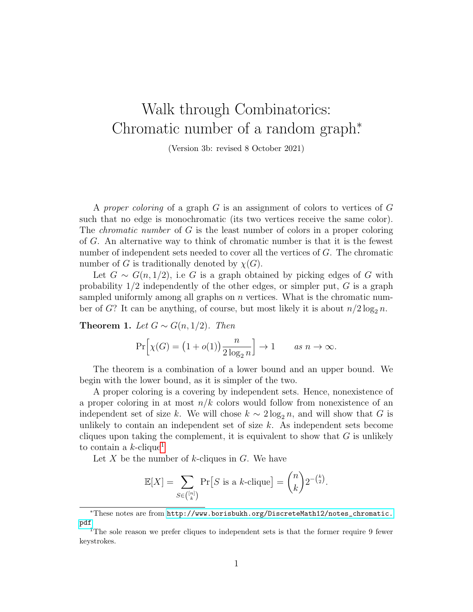## Walk through Combinatorics: Chromatic number of a random graph<sup>\*</sup>.

(Version 3b: revised 8 October 2021)

A proper coloring of a graph G is an assignment of colors to vertices of G such that no edge is monochromatic (its two vertices receive the same color). The *chromatic number* of G is the least number of colors in a proper coloring of G. An alternative way to think of chromatic number is that it is the fewest number of independent sets needed to cover all the vertices of G. The chromatic number of G is traditionally denoted by  $\chi(G)$ .

Let  $G \sim G(n, 1/2)$ , i.e G is a graph obtained by picking edges of G with probability  $1/2$  independently of the other edges, or simpler put, G is a graph sampled uniformly among all graphs on  $n$  vertices. What is the chromatic number of G? It can be anything, of course, but most likely it is about  $n/2 \log_2 n$ .

Theorem 1. Let  $G \sim G(n, 1/2)$ . Then

$$
\Pr\left[\chi(G) = \left(1 + o(1)\right) \frac{n}{2 \log_2 n}\right] \to 1 \quad \text{as } n \to \infty.
$$

The theorem is a combination of a lower bound and an upper bound. We begin with the lower bound, as it is simpler of the two.

A proper coloring is a covering by independent sets. Hence, nonexistence of a proper coloring in at most  $n/k$  colors would follow from nonexistence of an independent set of size k. We will chose  $k \sim 2 \log_2 n$ , and will show that G is unlikely to contain an independent set of size  $k$ . As independent sets become cliques upon taking the complement, it is equivalent to show that  $G$  is unlikely to contain a  $k$ -clique<sup>[1](#page-0-0)</sup>

Let X be the number of  $k$ -cliques in  $G$ . We have

$$
\mathbb{E}[X] = \sum_{S \in \binom{[n]}{k}} \Pr\left[S \text{ is a } k\text{-clique}\right] = \binom{n}{k} 2^{-\binom{k}{2}}.
$$

<sup>∗</sup>These notes are from [http://www.borisbukh.org/DiscreteMath12/notes\\_chromatic.](http://www.borisbukh.org/DiscreteMath12/notes_chromatic.pdf) [pdf](http://www.borisbukh.org/DiscreteMath12/notes_chromatic.pdf)

<span id="page-0-0"></span><sup>&</sup>lt;sup>1</sup>The sole reason we prefer cliques to independent sets is that the former require 9 fewer keystrokes.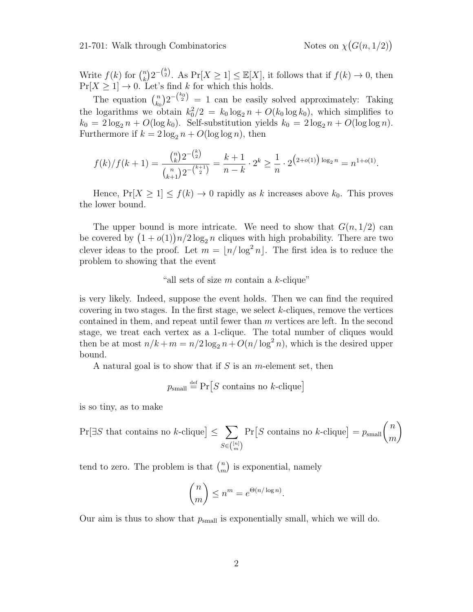$(G(n, 1/2))$ 

Write  $f(k)$  for  $\binom{n}{k}$  $\mathbb{E}_k^{(n)}[X] \geq \mathbb{E}[X]$ , it follows that if  $f(k) \to 0$ , then  $Pr[X \geq 1] \rightarrow 0$ . Let's find k for which this holds.

The equation  $\binom{n}{k}$  $\binom{n}{k_0} 2^{-\binom{k_0}{2}} = 1$  can be easily solved approximately: Taking the logarithms we obtain  $k_0^2/2 = k_0 \log_2 n + O(k_0 \log k_0)$ , which simplifies to  $k_0 = 2 \log_2 n + O(\log k_0)$ . Self-substitution yields  $k_0 = 2 \log_2 n + O(\log \log n)$ . Furthermore if  $k = 2 \log_2 n + O(\log \log n)$ , then

$$
f(k)/f(k+1) = \frac{\binom{n}{k} 2^{-\binom{k}{2}}}{\binom{n}{k+1} 2^{-\binom{k+1}{2}}} = \frac{k+1}{n-k} \cdot 2^k \ge \frac{1}{n} \cdot 2^{(2+o(1)) \log_2 n} = n^{1+o(1)}.
$$

Hence,  $Pr[X \ge 1] \le f(k) \to 0$  rapidly as k increases above  $k_0$ . This proves the lower bound.

The upper bound is more intricate. We need to show that  $G(n, 1/2)$  can be covered by  $(1+o(1))n/2\log_2 n$  cliques with high probability. There are two clever ideas to the proof. Let  $m = \lfloor n/\log^2 n \rfloor$ . The first idea is to reduce the problem to showing that the event

## "all sets of size  $m$  contain a  $k$ -clique"

is very likely. Indeed, suppose the event holds. Then we can find the required covering in two stages. In the first stage, we select k-cliques, remove the vertices contained in them, and repeat until fewer than m vertices are left. In the second stage, we treat each vertex as a 1-clique. The total number of cliques would then be at most  $n/k + m = n/2 \log_2 n + O(n/\log^2 n)$ , which is the desired upper bound.

A natural goal is to show that if  $S$  is an m-element set, then

 $p_{\text{small}} \stackrel{\text{def}}{=} \Pr[S \text{ contains no } k\text{-clique}]$ 

is so tiny, as to make

$$
\Pr[\exists S \text{ that contains no } k\text{-clique}] \le \sum_{S \in \binom{[n]}{m}} \Pr[S \text{ contains no } k\text{-clique}] = p_{\text{small}} \binom{n}{m}
$$

tend to zero. The problem is that  $\binom{n}{m}$  $\binom{n}{m}$  is exponential, namely

$$
\binom{n}{m} \le n^m = e^{\Theta(n/\log n)}.
$$

Our aim is thus to show that  $p_{small}$  is exponentially small, which we will do.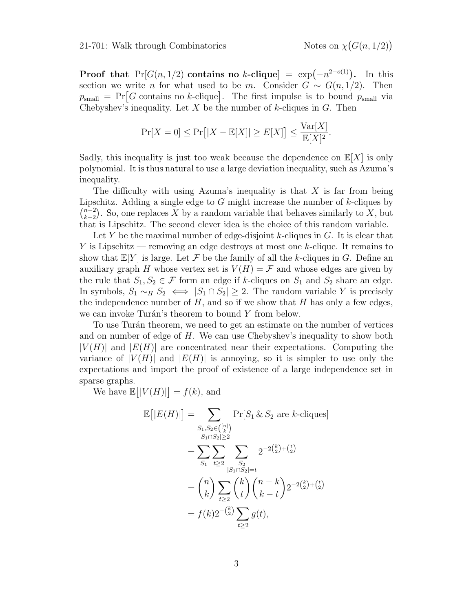$(G(n, 1/2))$ 

**Proof that**  $Pr[G(n, 1/2)]$  contains no k-clique =  $exp(-n^{2-o(1)})$ . In this section we write *n* for what used to be *m*. Consider  $G \sim G(n, 1/2)$ . Then  $p_{\text{small}} = \Pr[G \text{ contains no } k\text{-clique}]$ . The first impulse is to bound  $p_{\text{small}}$  via Chebyshev's inequality. Let  $X$  be the number of  $k$ -cliques in  $G$ . Then

$$
\Pr[X=0] \le \Pr\big[|X - \mathbb{E}[X]| \ge E[X]\big] \le \frac{\text{Var}[X]}{\mathbb{E}[X]^2}.
$$

Sadly, this inequality is just too weak because the dependence on  $\mathbb{E}[X]$  is only polynomial. It is thus natural to use a large deviation inequality, such as Azuma's inequality.

The difficulty with using Azuma's inequality is that  $X$  is far from being Lipschitz. Adding a single edge to  $G$  might increase the number of  $k$ -cliques by  $\binom{n-2}{k}$  $\binom{n-2}{k-2}$ . So, one replaces X by a random variable that behaves similarly to X, but that is Lipschitz. The second clever idea is the choice of this random variable.

Let Y be the maximal number of edge-disjoint k-cliques in  $G$ . It is clear that Y is Lipschitz — removing an edge destroys at most one k-clique. It remains to show that  $\mathbb{E}[Y]$  is large. Let F be the family of all the k-cliques in G. Define an auxiliary graph H whose vertex set is  $V(H) = \mathcal{F}$  and whose edges are given by the rule that  $S_1, S_2 \in \mathcal{F}$  form an edge if k-cliques on  $S_1$  and  $S_2$  share an edge. In symbols,  $S_1 \sim_H S_2 \iff |S_1 \cap S_2| \geq 2$ . The random variable Y is precisely the independence number of  $H$ , and so if we show that  $H$  has only a few edges, we can invoke Turán's theorem to bound  $Y$  from below.

To use Turán theorem, we need to get an estimate on the number of vertices and on number of edge of  $H$ . We can use Chebyshev's inequality to show both  $|V(H)|$  and  $|E(H)|$  are concentrated near their expectations. Computing the variance of  $|V(H)|$  and  $|E(H)|$  is annoying, so it is simpler to use only the expectations and import the proof of existence of a large independence set in sparse graphs.

We have  $\mathbb{E}[|V(H)|] = f(k)$ , and

$$
\mathbb{E}[|E(H)|] = \sum_{\substack{S_1, S_2 \in \binom{[n]}{k} \\ |S_1 \cap S_2| \ge 2}} \Pr[S_1 \& S_2 \text{ are } k\text{-cliques}]
$$
\n
$$
= \sum_{S_1} \sum_{t \ge 2} \sum_{\substack{S_2 \\ |S_1 \cap S_2| = t}} 2^{-2\binom{k}{2} + \binom{t}{2}}
$$
\n
$$
= \binom{n}{k} \sum_{t \ge 2} \binom{k}{t} \binom{n-k}{k-t} 2^{-2\binom{k}{2} + \binom{t}{2}}
$$
\n
$$
= f(k) 2^{-\binom{k}{2}} \sum_{t \ge 2} g(t),
$$